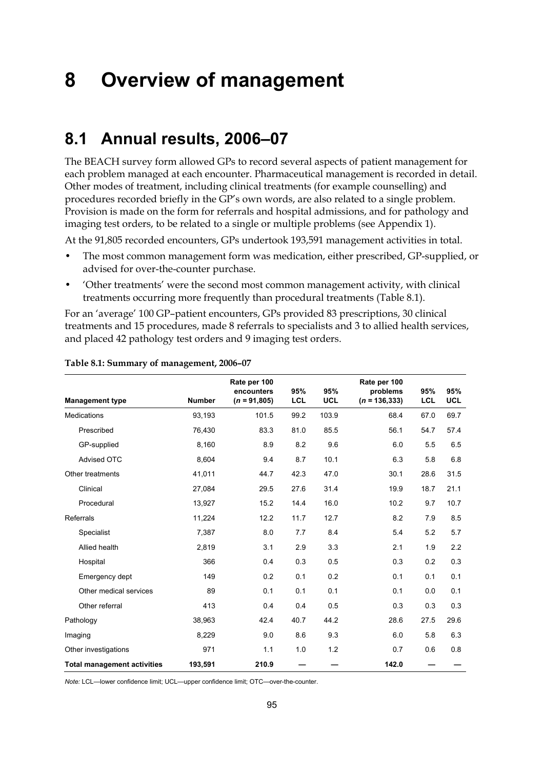# **8 Overview of management**

## **8.1 Annual results, 2006–07**

The BEACH survey form allowed GPs to record several aspects of patient management for each problem managed at each encounter. Pharmaceutical management is recorded in detail. Other modes of treatment, including clinical treatments (for example counselling) and procedures recorded briefly in the GP's own words, are also related to a single problem. Provision is made on the form for referrals and hospital admissions, and for pathology and imaging test orders, to be related to a single or multiple problems (see Appendix 1).

At the 91,805 recorded encounters, GPs undertook 193,591 management activities in total.

- The most common management form was medication, either prescribed, GP-supplied, or advised for over-the-counter purchase.
- 'Other treatments' were the second most common management activity, with clinical treatments occurring more frequently than procedural treatments (Table 8.1).

For an 'average' 100 GP–patient encounters, GPs provided 83 prescriptions, 30 clinical treatments and 15 procedures, made 8 referrals to specialists and 3 to allied health services, and placed 42 pathology test orders and 9 imaging test orders.

|                                    |               | Rate per 100<br>encounters | 95%        | 95%        | Rate per 100<br>problems | 95%  | 95%        |
|------------------------------------|---------------|----------------------------|------------|------------|--------------------------|------|------------|
| <b>Management type</b>             | <b>Number</b> | $(n = 91,805)$             | <b>LCL</b> | <b>UCL</b> | $(n = 136, 333)$         | LCL  | <b>UCL</b> |
| <b>Medications</b>                 | 93,193        | 101.5                      | 99.2       | 103.9      | 68.4                     | 67.0 | 69.7       |
| Prescribed                         | 76,430        | 83.3                       | 81.0       | 85.5       | 56.1                     | 54.7 | 57.4       |
| GP-supplied                        | 8,160         | 8.9                        | 8.2        | 9.6        | 6.0                      | 5.5  | 6.5        |
| Advised OTC                        | 8,604         | 9.4                        | 8.7        | 10.1       | 6.3                      | 5.8  | 6.8        |
| Other treatments                   | 41,011        | 44.7                       | 42.3       | 47.0       | 30.1                     | 28.6 | 31.5       |
| Clinical                           | 27,084        | 29.5                       | 27.6       | 31.4       | 19.9                     | 18.7 | 21.1       |
| Procedural                         | 13,927        | 15.2                       | 14.4       | 16.0       | 10.2                     | 9.7  | 10.7       |
| Referrals                          | 11,224        | 12.2                       | 11.7       | 12.7       | 8.2                      | 7.9  | 8.5        |
| Specialist                         | 7,387         | 8.0                        | 7.7        | 8.4        | 5.4                      | 5.2  | 5.7        |
| Allied health                      | 2,819         | 3.1                        | 2.9        | 3.3        | 2.1                      | 1.9  | 2.2        |
| Hospital                           | 366           | 0.4                        | 0.3        | 0.5        | 0.3                      | 0.2  | 0.3        |
| Emergency dept                     | 149           | 0.2                        | 0.1        | 0.2        | 0.1                      | 0.1  | 0.1        |
| Other medical services             | 89            | 0.1                        | 0.1        | 0.1        | 0.1                      | 0.0  | 0.1        |
| Other referral                     | 413           | 0.4                        | 0.4        | 0.5        | 0.3                      | 0.3  | 0.3        |
| Pathology                          | 38.963        | 42.4                       | 40.7       | 44.2       | 28.6                     | 27.5 | 29.6       |
| Imaging                            | 8,229         | 9.0                        | 8.6        | 9.3        | 6.0                      | 5.8  | 6.3        |
| Other investigations               | 971           | 1.1                        | 1.0        | 1.2        | 0.7                      | 0.6  | 0.8        |
| <b>Total management activities</b> | 193,591       | 210.9                      |            |            | 142.0                    |      |            |

#### **Table 8.1: Summary of management, 2006–07**

*Note:* LCL—lower confidence limit; UCL—upper confidence limit; OTC—over-the-counter.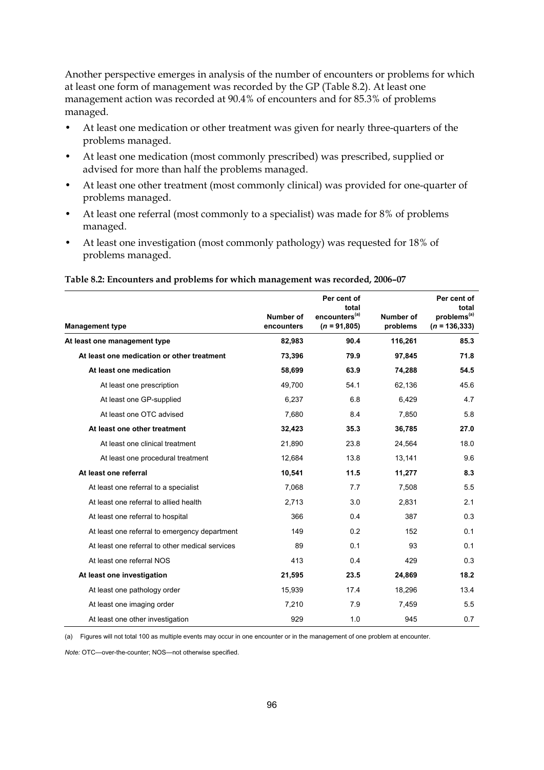Another perspective emerges in analysis of the number of encounters or problems for which at least one form of management was recorded by the GP (Table 8.2). At least one management action was recorded at 90.4% of encounters and for 85.3% of problems managed.

- At least one medication or other treatment was given for nearly three-quarters of the problems managed.
- At least one medication (most commonly prescribed) was prescribed, supplied or advised for more than half the problems managed.
- At least one other treatment (most commonly clinical) was provided for one-quarter of problems managed.
- At least one referral (most commonly to a specialist) was made for 8% of problems managed.
- At least one investigation (most commonly pathology) was requested for 18% of problems managed.

#### **Table 8.2: Encounters and problems for which management was recorded, 2006–07**

| <b>Management type</b>                          | Number of<br>encounters | Per cent of<br>total<br>encounters <sup>(a)</sup><br>$(n = 91,805)$ | Number of<br>problems | Per cent of<br>total<br>problems <sup>(a)</sup><br>$(n = 136, 333)$ |
|-------------------------------------------------|-------------------------|---------------------------------------------------------------------|-----------------------|---------------------------------------------------------------------|
| At least one management type                    | 82,983                  | 90.4                                                                | 116,261               | 85.3                                                                |
| At least one medication or other treatment      | 73,396                  | 79.9                                                                | 97.845                | 71.8                                                                |
| At least one medication                         | 58,699                  | 63.9                                                                | 74,288                | 54.5                                                                |
| At least one prescription                       | 49.700                  | 54.1                                                                | 62.136                | 45.6                                                                |
| At least one GP-supplied                        | 6,237                   | 6.8                                                                 | 6,429                 | 4.7                                                                 |
| At least one OTC advised                        | 7,680                   | 8.4                                                                 | 7,850                 | 5.8                                                                 |
| At least one other treatment                    | 32,423                  | 35.3                                                                | 36,785                | 27.0                                                                |
| At least one clinical treatment                 | 21,890                  | 23.8                                                                | 24,564                | 18.0                                                                |
| At least one procedural treatment               | 12,684                  | 13.8                                                                | 13,141                | 9.6                                                                 |
| At least one referral                           | 10,541                  | 11.5                                                                | 11,277                | 8.3                                                                 |
| At least one referral to a specialist           | 7,068                   | 7.7                                                                 | 7.508                 | 5.5                                                                 |
| At least one referral to allied health          | 2,713                   | 3.0                                                                 | 2,831                 | 2.1                                                                 |
| At least one referral to hospital               | 366                     | 0.4                                                                 | 387                   | 0.3                                                                 |
| At least one referral to emergency department   | 149                     | 0.2                                                                 | 152                   | 0.1                                                                 |
| At least one referral to other medical services | 89                      | 0.1                                                                 | 93                    | 0.1                                                                 |
| At least one referral NOS                       | 413                     | 0.4                                                                 | 429                   | 0.3                                                                 |
| At least one investigation                      | 21,595                  | 23.5                                                                | 24,869                | 18.2                                                                |
| At least one pathology order                    | 15,939                  | 17.4                                                                | 18,296                | 13.4                                                                |
| At least one imaging order                      | 7,210                   | 7.9                                                                 | 7,459                 | 5.5                                                                 |
| At least one other investigation                | 929                     | 1.0                                                                 | 945                   | 0.7                                                                 |

(a) Figures will not total 100 as multiple events may occur in one encounter or in the management of one problem at encounter.

*Note:* OTC—over-the-counter; NOS—not otherwise specified.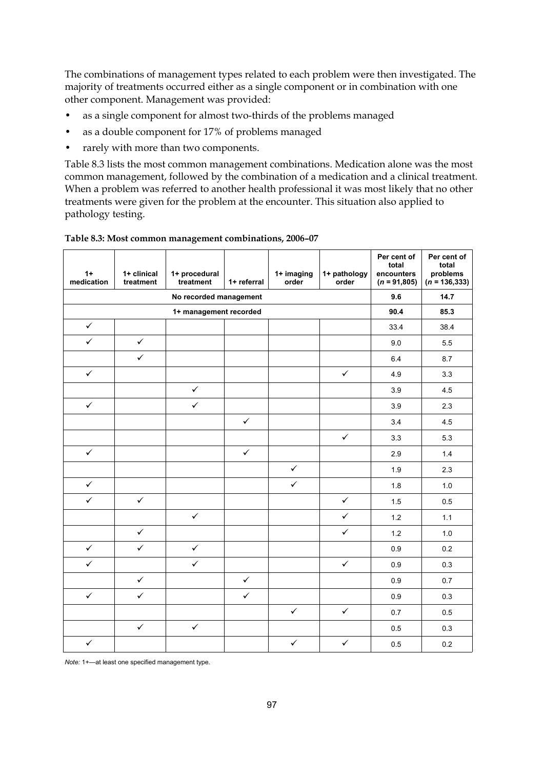The combinations of management types related to each problem were then investigated. The majority of treatments occurred either as a single component or in combination with one other component. Management was provided:

- as a single component for almost two-thirds of the problems managed
- as a double component for 17% of problems managed
- rarely with more than two components.

Table 8.3 lists the most common management combinations. Medication alone was the most common management, followed by the combination of a medication and a clinical treatment. When a problem was referred to another health professional it was most likely that no other treatments were given for the problem at the encounter. This situation also applied to pathology testing.

| $1+$<br>medication | 1+ clinical<br>treatment | 1+ procedural<br>treatment | 1+ referral  | 1+ imaging<br>order | 1+ pathology<br>order | Per cent of<br>total<br>encounters<br>$(n = 91,805)$ | Per cent of<br>total<br>problems<br>$(n = 136, 333)$ |
|--------------------|--------------------------|----------------------------|--------------|---------------------|-----------------------|------------------------------------------------------|------------------------------------------------------|
|                    |                          | No recorded management     |              |                     |                       | 9.6                                                  | 14.7                                                 |
|                    |                          | 1+ management recorded     |              |                     |                       | 90.4                                                 | 85.3                                                 |
| $\checkmark$       |                          |                            |              |                     |                       | 33.4                                                 | 38.4                                                 |
| $\checkmark$       | $\checkmark$             |                            |              |                     |                       | 9.0                                                  | 5.5                                                  |
|                    | $\checkmark$             |                            |              |                     |                       | 6.4                                                  | 8.7                                                  |
| $\checkmark$       |                          |                            |              |                     | $\checkmark$          | 4.9                                                  | 3.3                                                  |
|                    |                          | $\checkmark$               |              |                     |                       | 3.9                                                  | 4.5                                                  |
| $\checkmark$       |                          | $\checkmark$               |              |                     |                       | 3.9                                                  | 2.3                                                  |
|                    |                          |                            | $\checkmark$ |                     |                       | 3.4                                                  | 4.5                                                  |
|                    |                          |                            |              |                     | $\checkmark$          | 3.3                                                  | 5.3                                                  |
| $\checkmark$       |                          |                            | $\checkmark$ |                     |                       | 2.9                                                  | 1.4                                                  |
|                    |                          |                            |              | $\checkmark$        |                       | 1.9                                                  | 2.3                                                  |
| $\checkmark$       |                          |                            |              | $\checkmark$        |                       | 1.8                                                  | 1.0                                                  |
| $\checkmark$       | $\checkmark$             |                            |              |                     | $\checkmark$          | 1.5                                                  | 0.5                                                  |
|                    |                          | $\checkmark$               |              |                     | $\checkmark$          | 1.2                                                  | $1.1$                                                |
|                    | $\checkmark$             |                            |              |                     | $\checkmark$          | 1.2                                                  | 1.0                                                  |
| $\checkmark$       | $\checkmark$             | $\checkmark$               |              |                     |                       | 0.9                                                  | 0.2                                                  |
| $\checkmark$       |                          | $\checkmark$               |              |                     | $\checkmark$          | 0.9                                                  | 0.3                                                  |
|                    | $\checkmark$             |                            | $\checkmark$ |                     |                       | 0.9                                                  | 0.7                                                  |
| $\checkmark$       | $\checkmark$             |                            | $\checkmark$ |                     |                       | 0.9                                                  | 0.3                                                  |
|                    |                          |                            |              | $\checkmark$        | $\checkmark$          | 0.7                                                  | 0.5                                                  |
|                    | $\checkmark$             | $\checkmark$               |              |                     |                       | 0.5                                                  | 0.3                                                  |
| $\checkmark$       |                          |                            |              | $\checkmark$        | $\checkmark$          | 0.5                                                  | 0.2                                                  |

| Table 8.3: Most common management combinations, 2006-07 |  |
|---------------------------------------------------------|--|
|---------------------------------------------------------|--|

*Note:* 1+—at least one specified management type.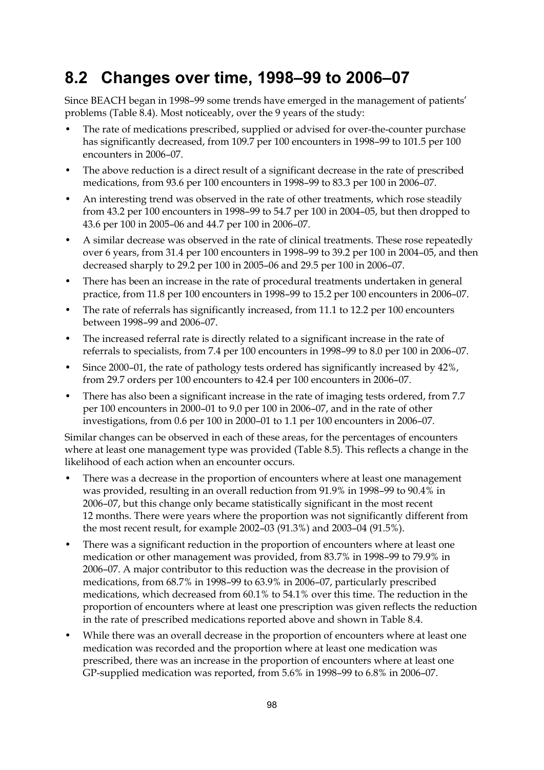## **8.2 Changes over time, 1998–99 to 2006–07**

Since BEACH began in 1998–99 some trends have emerged in the management of patients' problems (Table 8.4). Most noticeably, over the 9 years of the study:

- The rate of medications prescribed, supplied or advised for over-the-counter purchase has significantly decreased, from 109.7 per 100 encounters in 1998–99 to 101.5 per 100 encounters in 2006–07.
- The above reduction is a direct result of a significant decrease in the rate of prescribed medications, from 93.6 per 100 encounters in 1998–99 to 83.3 per 100 in 2006–07.
- An interesting trend was observed in the rate of other treatments, which rose steadily from 43.2 per 100 encounters in 1998–99 to 54.7 per 100 in 2004–05, but then dropped to 43.6 per 100 in 2005–06 and 44.7 per 100 in 2006–07.
- A similar decrease was observed in the rate of clinical treatments. These rose repeatedly over 6 years, from 31.4 per 100 encounters in 1998–99 to 39.2 per 100 in 2004–05, and then decreased sharply to 29.2 per 100 in 2005–06 and 29.5 per 100 in 2006–07.
- There has been an increase in the rate of procedural treatments undertaken in general practice, from 11.8 per 100 encounters in 1998–99 to 15.2 per 100 encounters in 2006–07.
- The rate of referrals has significantly increased, from 11.1 to 12.2 per 100 encounters between 1998–99 and 2006–07.
- The increased referral rate is directly related to a significant increase in the rate of referrals to specialists, from 7.4 per 100 encounters in 1998–99 to 8.0 per 100 in 2006–07.
- Since 2000–01, the rate of pathology tests ordered has significantly increased by 42%, from 29.7 orders per 100 encounters to 42.4 per 100 encounters in 2006–07.
- There has also been a significant increase in the rate of imaging tests ordered, from 7.7 per 100 encounters in 2000–01 to 9.0 per 100 in 2006–07, and in the rate of other investigations, from 0.6 per 100 in 2000–01 to 1.1 per 100 encounters in 2006–07.

Similar changes can be observed in each of these areas, for the percentages of encounters where at least one management type was provided (Table 8.5). This reflects a change in the likelihood of each action when an encounter occurs.

- There was a decrease in the proportion of encounters where at least one management was provided, resulting in an overall reduction from 91.9% in 1998–99 to 90.4% in 2006–07, but this change only became statistically significant in the most recent 12 months. There were years where the proportion was not significantly different from the most recent result, for example 2002–03 (91.3%) and 2003–04 (91.5%).
- There was a significant reduction in the proportion of encounters where at least one medication or other management was provided, from 83.7% in 1998–99 to 79.9% in 2006–07. A major contributor to this reduction was the decrease in the provision of medications, from 68.7% in 1998–99 to 63.9% in 2006–07, particularly prescribed medications, which decreased from 60.1% to 54.1% over this time. The reduction in the proportion of encounters where at least one prescription was given reflects the reduction in the rate of prescribed medications reported above and shown in Table 8.4.
- While there was an overall decrease in the proportion of encounters where at least one medication was recorded and the proportion where at least one medication was prescribed, there was an increase in the proportion of encounters where at least one GP-supplied medication was reported, from 5.6% in 1998–99 to 6.8% in 2006–07.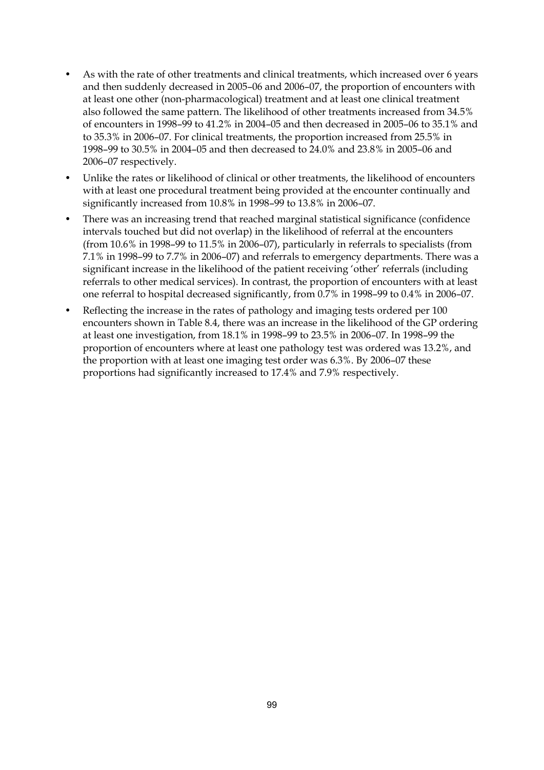- As with the rate of other treatments and clinical treatments, which increased over 6 years and then suddenly decreased in 2005–06 and 2006–07, the proportion of encounters with at least one other (non-pharmacological) treatment and at least one clinical treatment also followed the same pattern. The likelihood of other treatments increased from 34.5% of encounters in 1998–99 to 41.2% in 2004–05 and then decreased in 2005–06 to 35.1% and to 35.3% in 2006–07. For clinical treatments, the proportion increased from 25.5% in 1998–99 to 30.5% in 2004–05 and then decreased to 24.0% and 23.8% in 2005–06 and 2006–07 respectively.
- Unlike the rates or likelihood of clinical or other treatments, the likelihood of encounters with at least one procedural treatment being provided at the encounter continually and significantly increased from 10.8% in 1998–99 to 13.8% in 2006–07.
- There was an increasing trend that reached marginal statistical significance (confidence intervals touched but did not overlap) in the likelihood of referral at the encounters (from 10.6% in 1998–99 to 11.5% in 2006–07), particularly in referrals to specialists (from 7.1% in 1998–99 to 7.7% in 2006–07) and referrals to emergency departments. There was a significant increase in the likelihood of the patient receiving 'other' referrals (including referrals to other medical services). In contrast, the proportion of encounters with at least one referral to hospital decreased significantly, from 0.7% in 1998–99 to 0.4% in 2006–07.
- Reflecting the increase in the rates of pathology and imaging tests ordered per 100 encounters shown in Table 8.4, there was an increase in the likelihood of the GP ordering at least one investigation, from 18.1% in 1998–99 to 23.5% in 2006–07. In 1998–99 the proportion of encounters where at least one pathology test was ordered was 13.2%, and the proportion with at least one imaging test order was 6.3%. By 2006–07 these proportions had significantly increased to 17.4% and 7.9% respectively.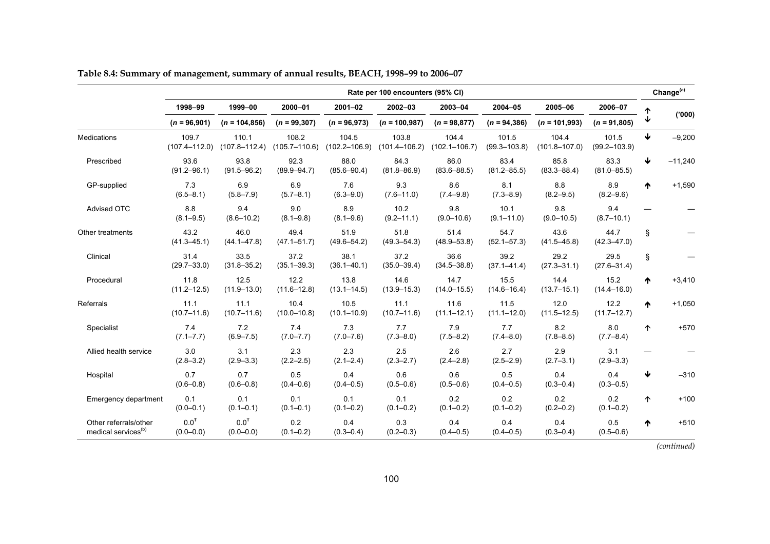|                                                          |                                   |                                   |                            |                            | Rate per 100 encounters (95% CI) |                            |                           |                            |                           |            | Change <sup>(a)</sup> |
|----------------------------------------------------------|-----------------------------------|-----------------------------------|----------------------------|----------------------------|----------------------------------|----------------------------|---------------------------|----------------------------|---------------------------|------------|-----------------------|
|                                                          | 1998-99                           | 1999-00                           | 2000-01                    | $2001 - 02$                | 2002-03                          | 2003-04                    | 2004-05                   | 2005-06                    | 2006-07                   |            |                       |
|                                                          | $(n = 96,901)$                    | $(n = 104, 856)$                  | $(n = 99, 307)$            | $(n = 96,973)$             | $(n = 100, 987)$                 | $(n = 98,877)$             | $(n = 94, 386)$           | $(n = 101,993)$            | $(n = 91,805)$            |            | (000)                 |
| Medications                                              | 109.7<br>$(107.4 - 112.0)$        | 110.1<br>$(107.8 - 112.4)$        | 108.2<br>$(105.7 - 110.6)$ | 104.5<br>$(102.2 - 106.9)$ | 103.8<br>$(101.4 - 106.2)$       | 104.4<br>$(102.1 - 106.7)$ | 101.5<br>$(99.3 - 103.8)$ | 104.4<br>$(101.8 - 107.0)$ | 101.5<br>$(99.2 - 103.9)$ | ↓          | $-9,200$              |
| Prescribed                                               | 93.6<br>$(91.2 - 96.1)$           | 93.8<br>$(91.5 - 96.2)$           | 92.3<br>$(89.9 - 94.7)$    | 88.0<br>$(85.6 - 90.4)$    | 84.3<br>$(81.8 - 86.9)$          | 86.0<br>$(83.6 - 88.5)$    | 83.4<br>$(81.2 - 85.5)$   | 85.8<br>$(83.3 - 88.4)$    | 83.3<br>$(81.0 - 85.5)$   | ↓          | $-11,240$             |
| GP-supplied                                              | 7.3<br>$(6.5 - 8.1)$              | 6.9<br>$(5.8 - 7.9)$              | 6.9<br>$(5.7 - 8.1)$       | 7.6<br>$(6.3 - 9.0)$       | 9.3<br>$(7.6 - 11.0)$            | 8.6<br>$(7.4 - 9.8)$       | 8.1<br>$(7.3 - 8.9)$      | 8.8<br>$(8.2 - 9.5)$       | 8.9<br>$(8.2 - 9.6)$      | ₼          | $+1,590$              |
| Advised OTC                                              | 8.8<br>$(8.1 - 9.5)$              | 9.4<br>$(8.6 - 10.2)$             | 9.0<br>$(8.1 - 9.8)$       | 8.9<br>$(8.1 - 9.6)$       | 10.2<br>$(9.2 - 11.1)$           | 9.8<br>$(9.0 - 10.6)$      | 10.1<br>$(9.1 - 11.0)$    | 9.8<br>$(9.0 - 10.5)$      | 9.4<br>$(8.7 - 10.1)$     |            |                       |
| Other treatments                                         | 43.2<br>$(41.3 - 45.1)$           | 46.0<br>$(44.1 - 47.8)$           | 49.4<br>$(47.1 - 51.7)$    | 51.9<br>$(49.6 - 54.2)$    | 51.8<br>$(49.3 - 54.3)$          | 51.4<br>$(48.9 - 53.8)$    | 54.7<br>$(52.1 - 57.3)$   | 43.6<br>$(41.5 - 45.8)$    | 44.7<br>$(42.3 - 47.0)$   | §.         |                       |
| Clinical                                                 | 31.4<br>$(29.7 - 33.0)$           | 33.5<br>$(31.8 - 35.2)$           | 37.2<br>$(35.1 - 39.3)$    | 38.1<br>$(36.1 - 40.1)$    | 37.2<br>$(35.0 - 39.4)$          | 36.6<br>$(34.5 - 38.8)$    | 39.2<br>$(37.1 - 41.4)$   | 29.2<br>$(27.3 - 31.1)$    | 29.5<br>$(27.6 - 31.4)$   | ş.         |                       |
| Procedural                                               | 11.8<br>$(11.2 - 12.5)$           | 12.5<br>$(11.9 - 13.0)$           | 12.2<br>$(11.6 - 12.8)$    | 13.8<br>$(13.1 - 14.5)$    | 14.6<br>$(13.9 - 15.3)$          | 14.7<br>$(14.0 - 15.5)$    | 15.5<br>$(14.6 - 16.4)$   | 14.4<br>$(13.7 - 15.1)$    | 15.2<br>$(14.4 - 16.0)$   | ᠰ          | $+3,410$              |
| Referrals                                                | 11.1<br>$(10.7 - 11.6)$           | 11.1<br>$(10.7 - 11.6)$           | 10.4<br>$(10.0 - 10.8)$    | 10.5<br>$(10.1 - 10.9)$    | 11.1<br>$(10.7 - 11.6)$          | 11.6<br>$(11.1 - 12.1)$    | 11.5<br>$(11.1 - 12.0)$   | 12.0<br>$(11.5 - 12.5)$    | 12.2<br>$(11.7 - 12.7)$   | ₼          | $+1,050$              |
| Specialist                                               | 7.4<br>$(7.1 - 7.7)$              | 7.2<br>$(6.9 - 7.5)$              | 7.4<br>$(7.0 - 7.7)$       | 7.3<br>$(7.0 - 7.6)$       | 7.7<br>$(7.3 - 8.0)$             | 7.9<br>$(7.5 - 8.2)$       | 7.7<br>$(7.4 - 8.0)$      | 8.2<br>$(7.8 - 8.5)$       | 8.0<br>$(7.7 - 8.4)$      | $\uparrow$ | $+570$                |
| Allied health service                                    | 3.0<br>$(2.8 - 3.2)$              | 3.1<br>$(2.9 - 3.3)$              | 2.3<br>$(2.2 - 2.5)$       | 2.3<br>$(2.1 - 2.4)$       | 2.5<br>$(2.3 - 2.7)$             | 2.6<br>$(2.4 - 2.8)$       | 2.7<br>$(2.5 - 2.9)$      | 2.9<br>$(2.7 - 3.1)$       | 3.1<br>$(2.9 - 3.3)$      |            |                       |
| Hospital                                                 | 0.7<br>$(0.6 - 0.8)$              | 0.7<br>$(0.6 - 0.8)$              | 0.5<br>$(0.4 - 0.6)$       | 0.4<br>$(0.4 - 0.5)$       | 0.6<br>$(0.5 - 0.6)$             | 0.6<br>$(0.5 - 0.6)$       | 0.5<br>$(0.4 - 0.5)$      | 0.4<br>$(0.3 - 0.4)$       | 0.4<br>$(0.3 - 0.5)$      | ↓          | $-310$                |
| Emergency department                                     | 0.1<br>$(0.0 - 0.1)$              | 0.1<br>$(0.1 - 0.1)$              | 0.1<br>$(0.1 - 0.1)$       | 0.1<br>$(0.1 - 0.2)$       | 0.1<br>$(0.1 - 0.2)$             | 0.2<br>$(0.1 - 0.2)$       | 0.2<br>$(0.1 - 0.2)$      | 0.2<br>$(0.2 - 0.2)$       | 0.2<br>$(0.1 - 0.2)$      | 个          | $+100$                |
| Other referrals/other<br>medical services <sup>(b)</sup> | 0.0 <sup>T</sup><br>$(0.0 - 0.0)$ | 0.0 <sup>T</sup><br>$(0.0 - 0.0)$ | 0.2<br>$(0.1 - 0.2)$       | 0.4<br>$(0.3 - 0.4)$       | 0.3<br>$(0.2 - 0.3)$             | 0.4<br>$(0.4 - 0.5)$       | 0.4<br>$(0.4 - 0.5)$      | 0.4<br>$(0.3 - 0.4)$       | 0.5<br>$(0.5 - 0.6)$      | ♠          | $+510$                |

### **Table 8.4: Summary of management, summary of annual results, BEACH, 1998–99 to 2006–07**

*(continued)*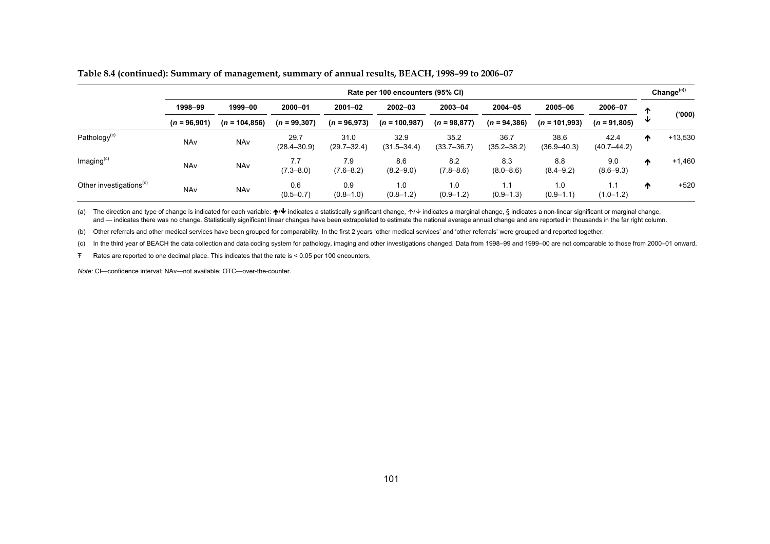|  |  |  | Table 8.4 (continued): Summary of management, summary of annual results, BEACH, 1998–99 to 2006–07 |
|--|--|--|----------------------------------------------------------------------------------------------------|
|  |  |  |                                                                                                    |

|                                     | Rate per 100 encounters (95% CI) |                  |                         |                         |                         |                         |                         |                         |                         |   |           |
|-------------------------------------|----------------------------------|------------------|-------------------------|-------------------------|-------------------------|-------------------------|-------------------------|-------------------------|-------------------------|---|-----------|
|                                     | 1998-99<br>$(n = 96,901)$        | 1999-00          | 2000-01                 | $2001 - 02$             | $2002 - 03$             | 2003-04                 | $2004 - 05$             | 2005-06                 | 2006-07                 | ∧ |           |
|                                     |                                  | $(n = 104, 856)$ | $(n = 99, 307)$         | $(n = 96,973)$          | $(n = 100, 987)$        | $(n = 98, 877)$         | $(n = 94, 386)$         | $(n = 101,993)$         | $(n = 91,805)$          | ₩ | ('000)    |
| Pathology <sup>(c)</sup>            | <b>NAv</b>                       | <b>NAv</b>       | 29.7<br>$(28.4 - 30.9)$ | 31.0<br>$(29.7 - 32.4)$ | 32.9<br>$(31.5 - 34.4)$ | 35.2<br>$(33.7 - 36.7)$ | 36.7<br>$(35.2 - 38.2)$ | 38.6<br>$(36.9 - 40.3)$ | 42.4<br>$(40.7 - 44.2)$ | ₼ | $+13,530$ |
| Imaging <sup>(c)</sup>              | <b>NAv</b>                       | <b>NAv</b>       | 7.7<br>$(7.3 - 8.0)$    | 7.9<br>$(7.6 - 8.2)$    | 8.6<br>$(8.2 - 9.0)$    | 8.2<br>$(7.8 - 8.6)$    | 8.3<br>$(8.0 - 8.6)$    | 8.8<br>$(8.4 - 9.2)$    | 9.0<br>$(8.6 - 9.3)$    | ^ | $+1,460$  |
| Other investigations <sup>(c)</sup> | <b>NAv</b>                       | <b>NAv</b>       | 0.6<br>$(0.5 - 0.7)$    | 0.9<br>$(0.8 - 1.0)$    | 1.0<br>$(0.8 - 1.2)$    | 1.0<br>$(0.9 - 1.2)$    | 1.1<br>$(0.9 - 1.3)$    | 1.0<br>$(0.9 - 1.1)$    | 1.1<br>$(1.0 - 1.2)$    | ₼ | $+520$    |

(a) The direction and type of change is indicated for each variable: ↑ ↓ indicates a statistically significant change, ↑ ↓ indicates a marginal change, § indicates a non-linear significant or marginal change, and — indicates there was no change. Statistically significant linear changes have been extrapolated to estimate the national average annual change and are reported in thousands in the far right column.

(b) Other referrals and other medical services have been grouped for comparability. In the first 2 years 'other medical services' and 'other referrals' were grouped and reported together.

(c) In the third year of BEACH the data collection and data coding system for pathology, imaging and other investigations changed. Data from 1998–99 and 1999–00 are not comparable to those from 2000–01 onward.

Ŧ Rates are reported to one decimal place. This indicates that the rate is < 0.05 per 100 encounters.

*Note:* CI—confidence interval; NAv—not available; OTC—over-the-counter.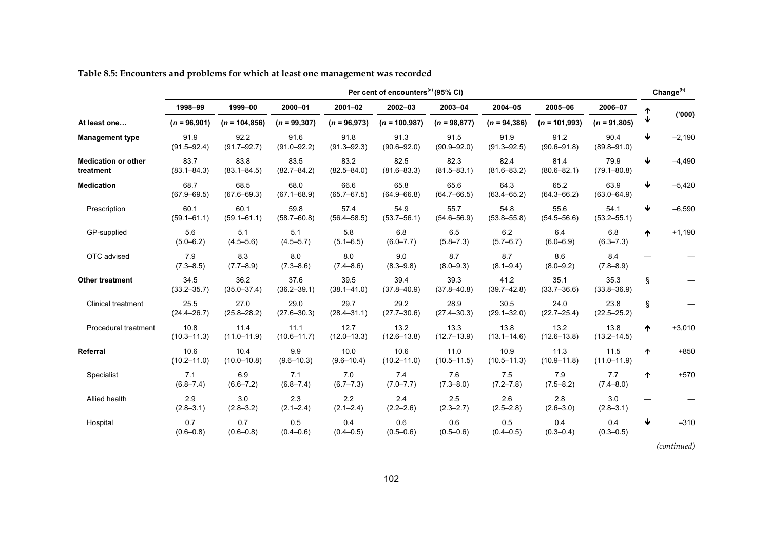|                                         | Per cent of encounters <sup>(a)</sup> (95% CI) |                         |                         |                         |                         |                         |                         |                         |                         |   | Change <sup>(b)</sup> |
|-----------------------------------------|------------------------------------------------|-------------------------|-------------------------|-------------------------|-------------------------|-------------------------|-------------------------|-------------------------|-------------------------|---|-----------------------|
|                                         | 1998-99                                        | 1999-00                 | 2000-01                 | $2001 - 02$             | $2002 - 03$             | 2003-04                 | 2004-05                 | 2005-06                 | 2006-07                 |   |                       |
| At least one                            | $(n = 96,901)$                                 | $(n = 104, 856)$        | $(n = 99, 307)$         | $(n = 96,973)$          | $(n = 100, 987)$        | $(n = 98, 877)$         | $(n = 94, 386)$         | $(n = 101,993)$         | $(n = 91,805)$          |   | (000)                 |
| <b>Management type</b>                  | 91.9<br>$(91.5 - 92.4)$                        | 92.2<br>$(91.7 - 92.7)$ | 91.6<br>$(91.0 - 92.2)$ | 91.8<br>$(91.3 - 92.3)$ | 91.3<br>$(90.6 - 92.0)$ | 91.5<br>$(90.9 - 92.0)$ | 91.9<br>$(91.3 - 92.5)$ | 91.2<br>$(90.6 - 91.8)$ | 90.4<br>$(89.8 - 91.0)$ | ↓ | $-2,190$              |
| <b>Medication or other</b><br>treatment | 83.7<br>$(83.1 - 84.3)$                        | 83.8<br>$(83.1 - 84.5)$ | 83.5<br>$(82.7 - 84.2)$ | 83.2<br>$(82.5 - 84.0)$ | 82.5<br>$(81.6 - 83.3)$ | 82.3<br>$(81.5 - 83.1)$ | 82.4<br>$(81.6 - 83.2)$ | 81.4<br>$(80.6 - 82.1)$ | 79.9<br>$(79.1 - 80.8)$ | ₩ | $-4,490$              |
| <b>Medication</b>                       | 68.7<br>$(67.9 - 69.5)$                        | 68.5<br>$(67.6 - 69.3)$ | 68.0<br>$(67.1 - 68.9)$ | 66.6<br>$(65.7 - 67.5)$ | 65.8<br>$(64.9 - 66.8)$ | 65.6<br>$(64.7 - 66.5)$ | 64.3<br>$(63.4 - 65.2)$ | 65.2<br>$(64.3 - 66.2)$ | 63.9<br>$(63.0 - 64.9)$ | ↓ | $-5,420$              |
| Prescription                            | 60.1<br>$(59.1 - 61.1)$                        | 60.1<br>$(59.1 - 61.1)$ | 59.8<br>$(58.7 - 60.8)$ | 57.4<br>$(56.4 - 58.5)$ | 54.9<br>$(53.7 - 56.1)$ | 55.7<br>$(54.6 - 56.9)$ | 54.8<br>$(53.8 - 55.8)$ | 55.6<br>$(54.5 - 56.6)$ | 54.1<br>$(53.2 - 55.1)$ | ↓ | $-6,590$              |
| GP-supplied                             | 5.6<br>$(5.0 - 6.2)$                           | 5.1<br>$(4.5 - 5.6)$    | 5.1<br>$(4.5 - 5.7)$    | 5.8<br>$(5.1 - 6.5)$    | 6.8<br>$(6.0 - 7.7)$    | 6.5<br>$(5.8 - 7.3)$    | 6.2<br>$(5.7 - 6.7)$    | 6.4<br>$(6.0 - 6.9)$    | 6.8<br>$(6.3 - 7.3)$    | ♠ | $+1,190$              |
| OTC advised                             | 7.9<br>$(7.3 - 8.5)$                           | 8.3<br>$(7.7 - 8.9)$    | 8.0<br>$(7.3 - 8.6)$    | 8.0<br>$(7.4 - 8.6)$    | 9.0<br>$(8.3 - 9.8)$    | 8.7<br>$(8.0 - 9.3)$    | 8.7<br>$(8.1 - 9.4)$    | 8.6<br>$(8.0 - 9.2)$    | 8.4<br>$(7.8 - 8.9)$    |   |                       |
| <b>Other treatment</b>                  | 34.5<br>$(33.2 - 35.7)$                        | 36.2<br>$(35.0 - 37.4)$ | 37.6<br>$(36.2 - 39.1)$ | 39.5<br>$(38.1 - 41.0)$ | 39.4<br>$(37.8 - 40.9)$ | 39.3<br>$(37.8 - 40.8)$ | 41.2<br>$(39.7 - 42.8)$ | 35.1<br>$(33.7 - 36.6)$ | 35.3<br>$(33.8 - 36.9)$ | ş |                       |
| <b>Clinical treatment</b>               | 25.5<br>$(24.4 - 26.7)$                        | 27.0<br>$(25.8 - 28.2)$ | 29.0<br>$(27.6 - 30.3)$ | 29.7<br>$(28.4 - 31.1)$ | 29.2<br>$(27.7 - 30.6)$ | 28.9<br>$(27.4 - 30.3)$ | 30.5<br>$(29.1 - 32.0)$ | 24.0<br>$(22.7 - 25.4)$ | 23.8<br>$(22.5 - 25.2)$ | ş |                       |
| Procedural treatment                    | 10.8<br>$(10.3 - 11.3)$                        | 11.4<br>$(11.0 - 11.9)$ | 11.1<br>$(10.6 - 11.7)$ | 12.7<br>$(12.0 - 13.3)$ | 13.2<br>$(12.6 - 13.8)$ | 13.3<br>$(12.7 - 13.9)$ | 13.8<br>$(13.1 - 14.6)$ | 13.2<br>$(12.6 - 13.8)$ | 13.8<br>$(13.2 - 14.5)$ | ₼ | $+3,010$              |
| Referral                                | 10.6<br>$(10.2 - 11.0)$                        | 10.4<br>$(10.0 - 10.8)$ | 9.9<br>$(9.6 - 10.3)$   | 10.0<br>$(9.6 - 10.4)$  | 10.6<br>$(10.2 - 11.0)$ | 11.0<br>$(10.5 - 11.5)$ | 10.9<br>$(10.5 - 11.3)$ | 11.3<br>$(10.9 - 11.8)$ | 11.5<br>$(11.0 - 11.9)$ | ↑ | $+850$                |
| Specialist                              | 7.1<br>$(6.8 - 7.4)$                           | 6.9<br>$(6.6 - 7.2)$    | 7.1<br>$(6.8 - 7.4)$    | 7.0<br>$(6.7 - 7.3)$    | 7.4<br>$(7.0 - 7.7)$    | 7.6<br>$(7.3 - 8.0)$    | 7.5<br>$(7.2 - 7.8)$    | 7.9<br>$(7.5 - 8.2)$    | 7.7<br>$(7.4 - 8.0)$    | 个 | $+570$                |
| Allied health                           | 2.9<br>$(2.8 - 3.1)$                           | 3.0<br>$(2.8 - 3.2)$    | 2.3<br>$(2.1 - 2.4)$    | 2.2<br>$(2.1 - 2.4)$    | 2.4<br>$(2.2 - 2.6)$    | 2.5<br>$(2.3 - 2.7)$    | 2.6<br>$(2.5 - 2.8)$    | 2.8<br>$(2.6 - 3.0)$    | 3.0<br>$(2.8 - 3.1)$    |   |                       |
| Hospital                                | 0.7<br>$(0.6 - 0.8)$                           | 0.7<br>$(0.6 - 0.8)$    | 0.5<br>$(0.4 - 0.6)$    | 0.4<br>$(0.4 - 0.5)$    | 0.6<br>$(0.5 - 0.6)$    | 0.6<br>$(0.5 - 0.6)$    | 0.5<br>$(0.4 - 0.5)$    | 0.4<br>$(0.3 - 0.4)$    | 0.4<br>$(0.3 - 0.5)$    | ₩ | $-310$                |

### **Table 8.5: Encounters and problems for which at least one management was recorded**

*(continued)*